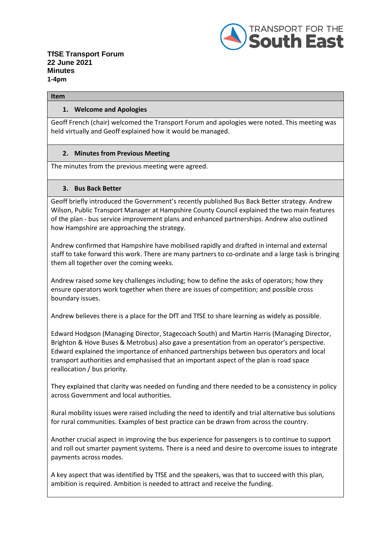

#### **Item**

#### **1. Welcome and Apologies**

Geoff French (chair) welcomed the Transport Forum and apologies were noted. This meeting was held virtually and Geoff explained how it would be managed.

### **2. Minutes from Previous Meeting**

The minutes from the previous meeting were agreed.

### **3. Bus Back Better**

Geoff briefly introduced the Government's recently published Bus Back Better strategy. Andrew Wilson, Public Transport Manager at Hampshire County Council explained the two main features of the plan - bus service improvement plans and enhanced partnerships. Andrew also outlined how Hampshire are approaching the strategy.

Andrew confirmed that Hampshire have mobilised rapidly and drafted in internal and external staff to take forward this work. There are many partners to co-ordinate and a large task is bringing them all together over the coming weeks.

Andrew raised some key challenges including; how to define the asks of operators; how they ensure operators work together when there are issues of competition; and possible cross boundary issues.

Andrew believes there is a place for the DfT and TfSE to share learning as widely as possible.

Edward Hodgson (Managing Director, Stagecoach South) and Martin Harris (Managing Director, Brighton & Hove Buses & Metrobus) also gave a presentation from an operator's perspective. Edward explained the importance of enhanced partnerships between bus operators and local transport authorities and emphasised that an important aspect of the plan is road space reallocation / bus priority.

They explained that clarity was needed on funding and there needed to be a consistency in policy across Government and local authorities.

Rural mobility issues were raised including the need to identify and trial alternative bus solutions for rural communities. Examples of best practice can be drawn from across the country.

Another crucial aspect in improving the bus experience for passengers is to continue to support and roll out smarter payment systems. There is a need and desire to overcome issues to integrate payments across modes.

A key aspect that was identified by TfSE and the speakers, was that to succeed with this plan, ambition is required. Ambition is needed to attract and receive the funding.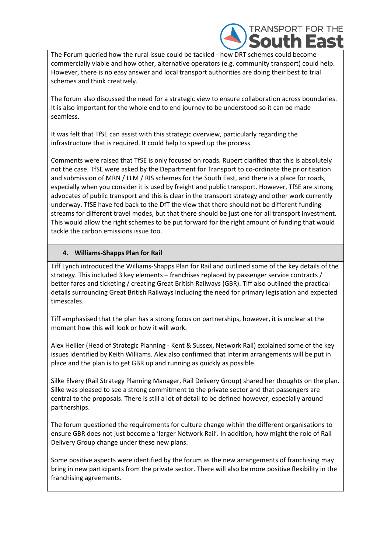

The Forum queried how the rural issue could be tackled - how DRT schemes could become commercially viable and how other, alternative operators (e.g. community transport) could help. However, there is no easy answer and local transport authorities are doing their best to trial schemes and think creatively.

The forum also discussed the need for a strategic view to ensure collaboration across boundaries. It is also important for the whole end to end journey to be understood so it can be made seamless.

It was felt that TfSE can assist with this strategic overview, particularly regarding the infrastructure that is required. It could help to speed up the process.

Comments were raised that TfSE is only focused on roads. Rupert clarified that this is absolutely not the case. TfSE were asked by the Department for Transport to co-ordinate the prioritisation and submission of MRN / LLM / RIS schemes for the South East, and there is a place for roads, especially when you consider it is used by freight and public transport. However, TfSE are strong advocates of public transport and this is clear in the transport strategy and other work currently underway. TfSE have fed back to the DfT the view that there should not be different funding streams for different travel modes, but that there should be just one for all transport investment. This would allow the right schemes to be put forward for the right amount of funding that would tackle the carbon emissions issue too.

# **4. Williams-Shapps Plan for Rail**

Tiff Lynch introduced the Williams-Shapps Plan for Rail and outlined some of the key details of the strategy. This included 3 key elements – franchises replaced by passenger service contracts / better fares and ticketing / creating Great British Railways (GBR). Tiff also outlined the practical details surrounding Great British Railways including the need for primary legislation and expected timescales.

Tiff emphasised that the plan has a strong focus on partnerships, however, it is unclear at the moment how this will look or how it will work.

Alex Hellier (Head of Strategic Planning - Kent & Sussex, Network Rail) explained some of the key issues identified by Keith Williams. Alex also confirmed that interim arrangements will be put in place and the plan is to get GBR up and running as quickly as possible.

Silke Elvery (Rail Strategy Planning Manager, Rail Delivery Group) shared her thoughts on the plan. Silke was pleased to see a strong commitment to the private sector and that passengers are central to the proposals. There is still a lot of detail to be defined however, especially around partnerships.

The forum questioned the requirements for culture change within the different organisations to ensure GBR does not just become a 'larger Network Rail'. In addition, how might the role of Rail Delivery Group change under these new plans.

Some positive aspects were identified by the forum as the new arrangements of franchising may bring in new participants from the private sector. There will also be more positive flexibility in the franchising agreements.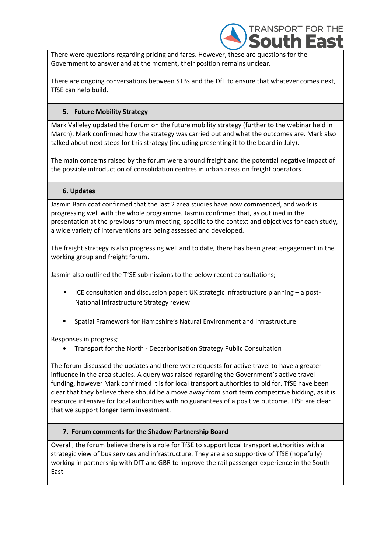

There were questions regarding pricing and fares. However, these are questions for the Government to answer and at the moment, their position remains unclear.

There are ongoing conversations between STBs and the DfT to ensure that whatever comes next, TfSE can help build.

# **5. Future Mobility Strategy**

Mark Valleley updated the Forum on the future mobility strategy (further to the webinar held in March). Mark confirmed how the strategy was carried out and what the outcomes are. Mark also talked about next steps for this strategy (including presenting it to the board in July).

The main concerns raised by the forum were around freight and the potential negative impact of the possible introduction of consolidation centres in urban areas on freight operators.

## **6. Updates**

Jasmin Barnicoat confirmed that the last 2 area studies have now commenced, and work is progressing well with the whole programme. Jasmin confirmed that, as outlined in the presentation at the previous forum meeting, specific to the context and objectives for each study, a wide variety of interventions are being assessed and developed.

The freight strategy is also progressing well and to date, there has been great engagement in the working group and freight forum.

Jasmin also outlined the TfSE submissions to the below recent consultations;

- ICE consultation and discussion paper: UK strategic infrastructure planning a post-National Infrastructure Strategy review
- Spatial Framework for Hampshire's Natural Environment and Infrastructure

Responses in progress;

• Transport for the North - Decarbonisation Strategy Public Consultation

The forum discussed the updates and there were requests for active travel to have a greater influence in the area studies. A query was raised regarding the Government's active travel funding, however Mark confirmed it is for local transport authorities to bid for. TfSE have been clear that they believe there should be a move away from short term competitive bidding, as it is resource intensive for local authorities with no guarantees of a positive outcome. TfSE are clear that we support longer term investment.

### **7. Forum comments for the Shadow Partnership Board**

Overall, the forum believe there is a role for TfSE to support local transport authorities with a strategic view of bus services and infrastructure. They are also supportive of TfSE (hopefully) working in partnership with DfT and GBR to improve the rail passenger experience in the South East.